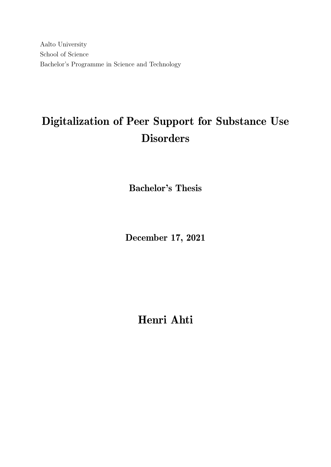Aalto University School of Science Bachelor's Programme in Science and Technology

# Digitalization of Peer Support for Substance Use **Disorders**

Bachelor's Thesis

December 17, 2021

Henri Ahti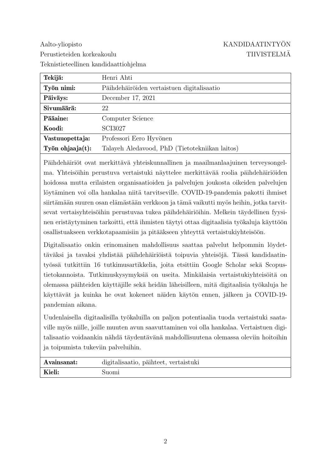Aalto-yliopisto KANDIDAATINTYÖN Perustieteiden korkeakoulu TIIVISTELMÄ Teknistieteellinen kandidaattiohjelma

| Tekijä:<br>Henri Ahti |                                                |  |
|-----------------------|------------------------------------------------|--|
| Työn nimi:            | Päihdehäiröiden vertaistuen digitalisaatio     |  |
| Päiväys:              | December 17, 2021                              |  |
| Sivumäärä:            | 22                                             |  |
| Pääaine:              | Computer Science                               |  |
| Koodi:                | SCI3027                                        |  |
| Vastuuopettaja:       | Professori Eero Hyvönen                        |  |
| Työn ohjaaja $(t)$ :  | Talayeh Aledavood, PhD (Tietotekniikan laitos) |  |

Päihdehäiriöt ovat merkittävä yhteiskunnallinen ja maailmanlaajuinen terveysongelma. Yhteisöihin perustuva vertaistuki näyttelee merkittävää roolia päihdehäiriöiden hoidossa mutta erilaisten organisaatioiden ja palvelujen joukosta oikeiden palvelujen löytäminen voi olla hankalaa niitä tarvitseville. COVID-19-pandemia pakotti ihmiset siirtämään suuren osan elämästään verkkoon ja tämä vaikutti myös heihin, jotka tarvitsevat vertaisyhteisöihin perustuvaa tukea päihdehäiriöihin. Melkein täydellinen fyysinen eristäytyminen tarkoitti, että ihmisten täytyi ottaa digitaalisia työkaluja käyttöön osallistuakseen verkkotapaamisiin ja pitääkseen yhteyttä vertaistukiyhteisöön.

Digitalisaatio onkin erinomainen mahdollisuus saattaa palvelut helpommin löydettäväksi ja tavaksi yhdistää päihdehäiriöistä toipuvia yhteisöjä. Tässä kandidaatintyössä tutkittiin 16 tutkimusartikkelia, joita etsittiin Google Scholar sekä Scopustietokannoista. Tutkimuskysymyksiä on useita. Minkälaisia vertaistukiyhteisöitä on olemassa päihteiden käyttäjille sekä heidän läheisilleen, mitä digitaalisia työkaluja he käyttävät ja kuinka he ovat kokeneet näiden käytön ennen, jälkeen ja COVID-19pandemian aikana.

Uudenlaisella digitaalisilla työkaluilla on paljon potentiaalia tuoda vertaistuki saataville myös niille, joille muuten avun saavuttaminen voi olla hankalaa. Vertaistuen digitalisaatio voidaankin nähdä täydentävänä mahdollisuutena olemassa oleviin hoitoihin ja toipumista tukeviin palveluihin.

| Avainsanat: | digitalisaatio, päihteet, vertaistuki |  |  |
|-------------|---------------------------------------|--|--|
| Kieli:      | 8110m1                                |  |  |
|             |                                       |  |  |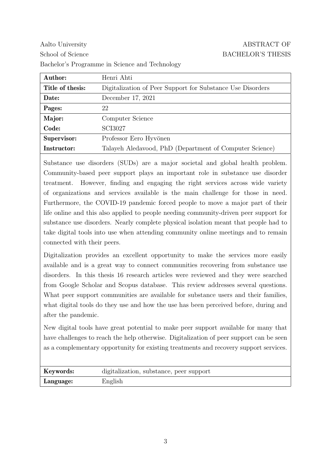| Author:                    | Henri Ahti                                                 |
|----------------------------|------------------------------------------------------------|
| Title of thesis:           | Digitalization of Peer Support for Substance Use Disorders |
| Date:<br>December 17, 2021 |                                                            |
| Pages:                     | 22                                                         |
| Major:                     | Computer Science                                           |
| Code:                      | SCI3027                                                    |
| Supervisor:                | Professor Eero Hyvönen                                     |
| Instructor:                | Talayeh Aledavood, PhD (Department of Computer Science)    |

Substance use disorders (SUDs) are a major societal and global health problem. Community-based peer support plays an important role in substance use disorder treatment. However, finding and engaging the right services across wide variety of organizations and services available is the main challenge for those in need. Furthermore, the COVID-19 pandemic forced people to move a major part of their life online and this also applied to people needing community-driven peer support for substance use disorders. Nearly complete physical isolation meant that people had to take digital tools into use when attending community online meetings and to remain connected with their peers.

Digitalization provides an excellent opportunity to make the services more easily available and is a great way to connect communities recovering from substance use disorders. In this thesis 16 research articles were reviewed and they were searched from Google Scholar and Scopus database. This review addresses several questions. What peer support communities are available for substance users and their families, what digital tools do they use and how the use has been perceived before, during and after the pandemic.

New digital tools have great potential to make peer support available for many that have challenges to reach the help otherwise. Digitalization of peer support can be seen as a complementary opportunity for existing treatments and recovery support services.

| Keywords: | digitalization, substance, peer support |
|-----------|-----------------------------------------|
| Language: | English                                 |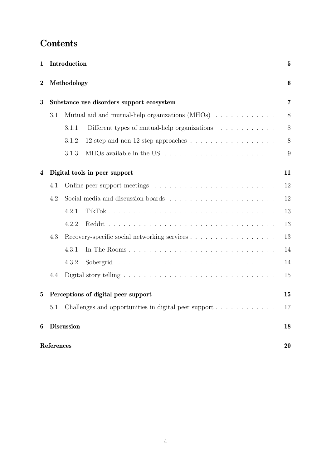## Contents

| $\mathbf{1}$     | Introduction                                        |                                                                                   |    |  |  |  |
|------------------|-----------------------------------------------------|-----------------------------------------------------------------------------------|----|--|--|--|
| $\boldsymbol{2}$ |                                                     | Methodology                                                                       | 6  |  |  |  |
| 3                | Substance use disorders support ecosystem           |                                                                                   |    |  |  |  |
|                  | 3.1                                                 | Mutual aid and mutual-help organizations $(MHOs)$                                 | 8  |  |  |  |
|                  |                                                     | Different types of mutual-help organizations $\ldots \ldots \ldots$<br>3.1.1      | 8  |  |  |  |
|                  |                                                     | 3.1.2<br>12-step and non-12 step approaches $\dots \dots \dots \dots \dots \dots$ | 8  |  |  |  |
|                  |                                                     | 3.1.3                                                                             | 9  |  |  |  |
| 4                |                                                     | Digital tools in peer support                                                     | 11 |  |  |  |
|                  | 4.1                                                 |                                                                                   | 12 |  |  |  |
|                  | 4.2                                                 |                                                                                   | 12 |  |  |  |
|                  |                                                     | 4.2.1                                                                             | 13 |  |  |  |
|                  |                                                     | 4.2.2                                                                             | 13 |  |  |  |
|                  | 4.3<br>Recovery-specific social networking services |                                                                                   |    |  |  |  |
|                  |                                                     | 4.3.1<br>In The Rooms                                                             | 14 |  |  |  |
|                  |                                                     | 4.3.2                                                                             | 14 |  |  |  |
|                  | 4.4                                                 |                                                                                   | 15 |  |  |  |
| $\mathbf{5}$     |                                                     | Perceptions of digital peer support                                               | 15 |  |  |  |
|                  | 5.1                                                 | Challenges and opportunities in digital peer support                              | 17 |  |  |  |
| 6                |                                                     | <b>Discussion</b>                                                                 | 18 |  |  |  |
|                  | References                                          |                                                                                   | 20 |  |  |  |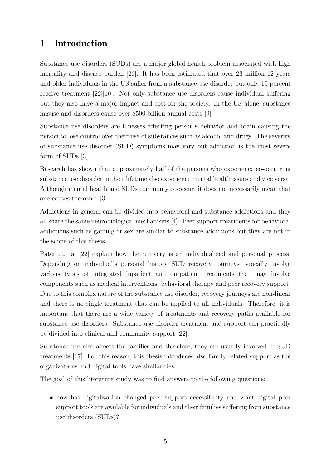### 1 Introduction

Substance use disorders (SUDs) are a major global health problem associated with high mortality and disease burden [26]. It has been estimated that over 23 million 12 years and older individuals in the US suffer from a substance use disorder but only 10 percent receive treatment [22][10]. Not only substance use disorders cause individual suffering but they also have a major impact and cost for the society. In the US alone, substance misuse and disorders cause over \$500 billion annual costs [9].

Substance use disorders are illnesses affecting person's behavior and brain causing the person to lose control over their use of substances such as alcohol and drugs. The severity of substance use disorder (SUD) symptoms may vary but addiction is the most severe form of SUDs [3].

Research has shown that approximately half of the persons who experience co-occurring substance use disorder in their lifetime also experience mental health issues and vice versa. Although mental health and SUDs commonly co-occur, it does not necessarily mean that one causes the other [3].

Addictions in general can be divided into behavioral and substance addictions and they all share the same neurobiological mechanisms [4]. Peer support treatments for behavioral addictions such as gaming or sex are similar to substance addictions but they are not in the scope of this thesis.

Pater et. al  $[22]$  explain how the recovery is an individualized and personal process. Depending on individual's personal history SUD recovery journeys typically involve various types of integrated inpatient and outpatient treatments that may involve components such as medical interventions, behavioral therapy and peer recovery support. Due to this complex nature of the substance use disorder, recovery journeys are non-linear and there is no single treatment that can be applied to all individuals. Therefore, it is important that there are a wide variety of treatments and recovery paths available for substance use disorders. Substance use disorder treatment and support can practically be divided into clinical and community support [22].

Substance use also affects the families and therefore, they are usually involved in SUD treatments [17]. For this reason, this thesis introduces also family related support as the organizations and digital tools have similarities.

The goal of this literature study was to find answers to the following questions:

• how has digitalization changed peer support accessibility and what digital peer support tools are available for individuals and their families suffering from substance use disorders (SUDs)?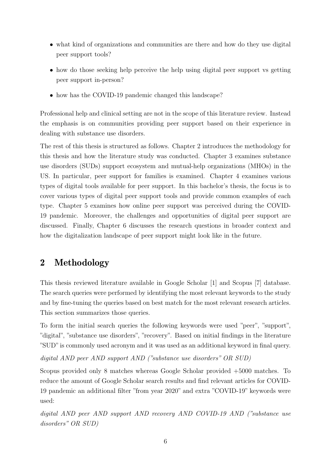- what kind of organizations and communities are there and how do they use digital peer support tools?
- how do those seeking help perceive the help using digital peer support vs getting peer support in-person?
- how has the COVID-19 pandemic changed this landscape?

Professional help and clinical setting are not in the scope of this literature review. Instead the emphasis is on communities providing peer support based on their experience in dealing with substance use disorders.

The rest of this thesis is structured as follows. Chapter 2 introduces the methodology for this thesis and how the literature study was conducted. Chapter 3 examines substance use disorders (SUDs) support ecosystem and mutual-help organizations (MHOs) in the US. In particular, peer support for families is examined. Chapter 4 examines various types of digital tools available for peer support. In this bachelor's thesis, the focus is to cover various types of digital peer support tools and provide common examples of each type. Chapter 5 examines how online peer support was perceived during the COVID-19 pandemic. Moreover, the challenges and opportunities of digital peer support are discussed. Finally, Chapter 6 discusses the research questions in broader context and how the digitalization landscape of peer support might look like in the future.

### 2 Methodology

This thesis reviewed literature available in Google Scholar [1] and Scopus [7] database. The search queries were performed by identifying the most relevant keywords to the study and by fine-tuning the queries based on best match for the most relevant research articles. This section summarizes those queries.

To form the initial search queries the following keywords were used "peer", "support", "digital", "substance use disorders", "recovery". Based on initial findings in the literature "SUD"is commonly used acronym and it was used as an additional keyword in final query.

digital AND peer AND support AND ("substance use disorders" OR SUD)

Scopus provided only 8 matches whereas Google Scholar provided +5000 matches. To reduce the amount of Google Scholar search results and find relevant articles for COVID-19 pandemic an additional filter "from year 2020" and extra "COVID-19" keywords were used:

digital AND peer AND support AND recovery AND COVID-19 AND ("substance use disorders" OR SUD)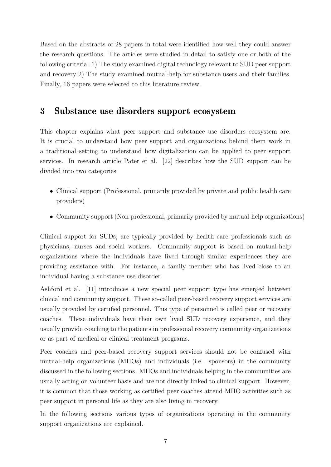Based on the abstracts of 28 papers in total were identified how well they could answer the research questions. The articles were studied in detail to satisfy one or both of the following criteria: 1) The study examined digital technology relevant to SUD peer support and recovery 2) The study examined mutual-help for substance users and their families. Finally, 16 papers were selected to this literature review.

### 3 Substance use disorders support ecosystem

This chapter explains what peer support and substance use disorders ecosystem are. It is crucial to understand how peer support and organizations behind them work in a traditional setting to understand how digitalization can be applied to peer support services. In research article Pater et al. [22] describes how the SUD support can be divided into two categories:

- Clinical support (Professional, primarily provided by private and public health care providers)
- Community support (Non-professional, primarily provided by mutual-help organizations)

Clinical support for SUDs, are typically provided by health care professionals such as physicians, nurses and social workers. Community support is based on mutual-help organizations where the individuals have lived through similar experiences they are providing assistance with. For instance, a family member who has lived close to an individual having a substance use disorder.

Ashford et al. [11] introduces a new special peer support type has emerged between clinical and community support. These so-called peer-based recovery support services are usually provided by certified personnel. This type of personnel is called peer or recovery coaches. These individuals have their own lived SUD recovery experience, and they usually provide coaching to the patients in professional recovery community organizations or as part of medical or clinical treatment programs.

Peer coaches and peer-based recovery support services should not be confused with mutual-help organizations (MHOs) and individuals (i.e. sponsors) in the community discussed in the following sections. MHOs and individuals helping in the communities are usually acting on volunteer basis and are not directly linked to clinical support. However, it is common that those working as certified peer coaches attend MHO activities such as peer support in personal life as they are also living in recovery.

In the following sections various types of organizations operating in the community support organizations are explained.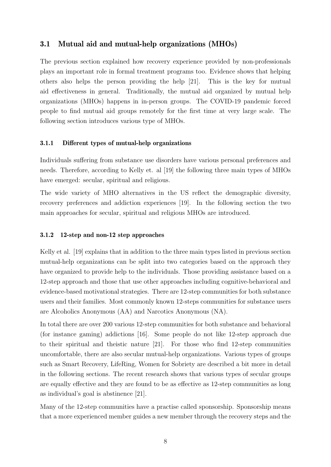#### 3.1 Mutual aid and mutual-help organizations (MHOs)

The previous section explained how recovery experience provided by non-professionals plays an important role in formal treatment programs too. Evidence shows that helping others also helps the person providing the help [21]. This is the key for mutual aid effectiveness in general. Traditionally, the mutual aid organized by mutual help organizations (MHOs) happens in in-person groups. The COVID-19 pandemic forced people to find mutual aid groups remotely for the first time at very large scale. The following section introduces various type of MHOs.

#### 3.1.1 Different types of mutual-help organizations

Individuals suffering from substance use disorders have various personal preferences and needs. Therefore, according to Kelly et. al [19] the following three main types of MHOs have emerged: secular, spiritual and religious.

The wide variety of MHO alternatives in the US reflect the demographic diversity, recovery preferences and addiction experiences [19]. In the following section the two main approaches for secular, spiritual and religious MHOs are introduced.

#### 3.1.2 12-step and non-12 step approaches

Kelly et al. [19] explains that in addition to the three main types listed in previous section mutual-help organizations can be split into two categories based on the approach they have organized to provide help to the individuals. Those providing assistance based on a 12-step approach and those that use other approaches including cognitive-behavioral and evidence-based motivational strategies. There are 12-step communities for both substance users and their families. Most commonly known 12-steps communities for substance users are Alcoholics Anonymous (AA) and Narcotics Anonymous (NA).

In total there are over 200 various 12-step communities for both substance and behavioral (for instance gaming) addictions [16]. Some people do not like 12-step approach due to their spiritual and theistic nature [21]. For those who find 12-step communities uncomfortable, there are also secular mutual-help organizations. Various types of groups such as Smart Recovery, LifeRing, Women for Sobriety are described a bit more in detail in the following sections. The recent research shows that various types of secular groups are equally effective and they are found to be as effective as 12-step communities as long as individual's goal is abstinence [21].

Many of the 12-step communities have a practise called sponsorship. Sponsorship means that a more experienced member guides a new member through the recovery steps and the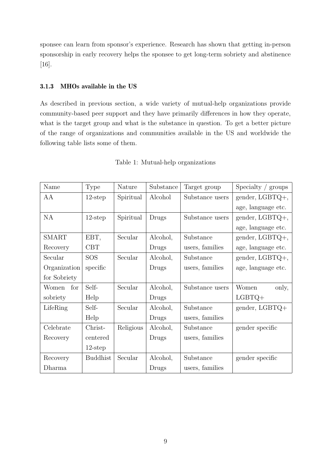sponsee can learn from sponsor's experience. Research has shown that getting in-person sponsorship in early recovery helps the sponsee to get long-term sobriety and abstinence [16].

#### 3.1.3 MHOs available in the US

As described in previous section, a wide variety of mutual-help organizations provide community-based peer support and they have primarily differences in how they operate, what is the target group and what is the substance in question. To get a better picture of the range of organizations and communities available in the US and worldwide the following table lists some of them.

| Name         | <b>Type</b>     | Nature              | Substance | Target group    | Specialty / groups |  |
|--------------|-----------------|---------------------|-----------|-----------------|--------------------|--|
| AA           | $12$ -step      | Spiritual           | Alcohol   | Substance users | gender, LGBTQ+,    |  |
|              |                 |                     |           |                 | age, language etc. |  |
| NA           | $12$ -step      | Spiritual           | Drugs     | Substance users | $gender, LGBTQ+,$  |  |
|              |                 |                     |           |                 | age, language etc. |  |
| <b>SMART</b> | EBT,            | Secular             | Alcohol,  | Substance       | gender, $LGBTQ+,$  |  |
| Recovery     | CBT             |                     | Drugs     | users, families | age, language etc. |  |
| Secular      | <b>SOS</b>      | Secular             | Alcohol,  | Substance       | gender, LGBTQ+,    |  |
| Organization | specific        |                     | Drugs     | users, families | age, language etc. |  |
| for Sobriety |                 |                     |           |                 |                    |  |
| for<br>Women | Self-           | Secular             | Alcohol,  | Substance users | Women<br>only,     |  |
| sobriety     | Help            |                     | Drugs     |                 | $LGBTQ+$           |  |
| LifeRing     | Self-           | Secular             | Alcohol,  | Substance       | gender, LGBTQ+     |  |
|              | Help            |                     | Drugs     | users, families |                    |  |
| Celebrate    | Christ-         | Religious           | Alcohol,  | Substance       | gender specific    |  |
| Recovery     | centered        |                     | Drugs     | users, families |                    |  |
|              | $12$ -step      |                     |           |                 |                    |  |
| Recovery     | <b>Buddhist</b> | Alcohol,<br>Secular |           | Substance       | gender specific    |  |
| Dharma       |                 |                     | Drugs     | users, families |                    |  |

Table 1: Mutual-help organizations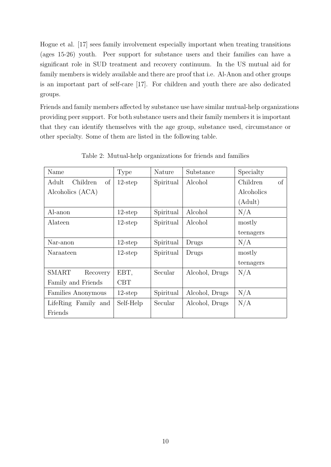Hogue et al. [17] sees family involvement especially important when treating transitions (ages 15-26) youth. Peer support for substance users and their families can have a significant role in SUD treatment and recovery continuum. In the US mutual aid for family members is widely available and there are proof that i.e. Al-Anon and other groups is an important part of self-care [17]. For children and youth there are also dedicated groups.

Friends and family members affected by substance use have similar mutual-help organizations providing peer support. For both substance users and their family members it is important that they can identify themselves with the age group, substance used, circumstance or other specialty. Some of them are listed in the following table.

| Name                     | Type       | Nature    | Substance      | Specialty      |  |
|--------------------------|------------|-----------|----------------|----------------|--|
| of<br>Adult<br>Children  | $12$ -step | Spiritual | Alcohol        | of<br>Children |  |
| Alcoholics (ACA)         |            |           |                | Alcoholics     |  |
|                          |            |           |                | (Adult)        |  |
| Al-anon                  | $12$ -step | Spiritual | Alcohol        | N/A            |  |
| Alateen                  | $12$ -step | Spiritual | Alcohol        | mostly         |  |
|                          |            |           |                | teenagers      |  |
| Nar-anon                 | $12$ -step | Spiritual | Drugs          | N/A            |  |
| Naraateen                | $12$ -step | Spiritual | Drugs          | mostly         |  |
|                          |            |           |                | teenagers      |  |
| <b>SMART</b><br>Recovery | EBT,       | Secular   | Alcohol, Drugs | N/A            |  |
| Family and Friends       | <b>CBT</b> |           |                |                |  |
| Families Anonymous       | $12$ -step | Spiritual | Alcohol, Drugs | N/A            |  |
| LifeRing Family and      | Self-Help  | Secular   | Alcohol, Drugs | N/A            |  |
| Friends                  |            |           |                |                |  |

Table 2: Mutual-help organizations for friends and families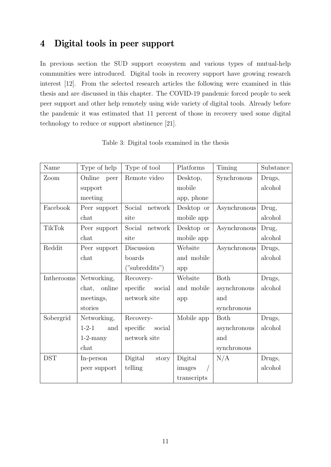### 4 Digital tools in peer support

In previous section the SUD support ecosystem and various types of mutual-help communities were introduced. Digital tools in recovery support have growing research interest [12]. From the selected research articles the following were examined in this thesis and are discussed in this chapter. The COVID-19 pandemic forced people to seek peer support and other help remotely using wide variety of digital tools. Already before the pandemic it was estimated that 11 percent of those in recovery used some digital technology to reduce or support abstinence [21].

| Name          | Type of help    | Type of tool       | Platforms   | Timing       | Substance |
|---------------|-----------------|--------------------|-------------|--------------|-----------|
| Zoom          | Online<br>peer  | Remote video       | Desktop,    | Synchronous  | Drugs,    |
|               | support         |                    | mobile      |              | alcohol   |
|               | meeting         |                    | app, phone  |              |           |
| Facebook      | Peer support    | Social<br>network  | Desktop or  | Asynchronous | Drug,     |
|               | chat            | site               | mobile app  |              | alcohol   |
| <b>TikTok</b> | Peer support    | Social<br>network  | Desktop or  | Asynchronous | Drug,     |
|               | chat            | site               | mobile app  |              | alcohol   |
| Reddit        | Peer support    | Discussion         | Website     | Asynchronous | Drugs,    |
|               | chat            | boards             | and mobile  |              | alcohol   |
|               |                 | ("subreddits")     | app         |              |           |
| Intherooms    | Networking,     | Recovery-          | Website     | Both         | Drugs,    |
|               | online<br>chat, | specific<br>social | and mobile  | asynchronous | alcohol   |
|               | meetings,       | network site       | app         | and          |           |
|               | stories         |                    |             | synchronous  |           |
| Sobergrid     | Networking,     | Recovery-          | Mobile app  | <b>Both</b>  | Drugs,    |
|               | $1-2-1$<br>and  | specific<br>social |             | asynchronous | alcohol   |
|               | $1-2$ -many     | network site       |             | and          |           |
|               | chat            |                    |             | synchronous  |           |
| <b>DST</b>    | In-person       | Digital<br>story   | Digital     | N/A          | Drugs,    |
|               | peer support    | telling            | images      |              | alcohol   |
|               |                 |                    | transcripts |              |           |

Table 3: Digital tools examined in the thesis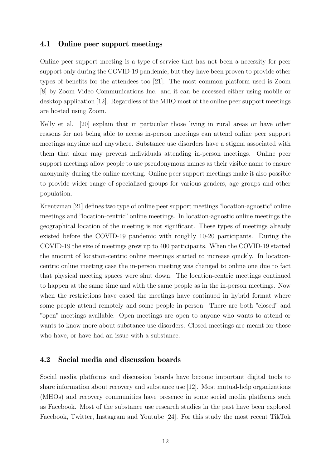#### 4.1 Online peer support meetings

Online peer support meeting is a type of service that has not been a necessity for peer support only during the COVID-19 pandemic, but they have been proven to provide other types of benefits for the attendees too [21]. The most common platform used is Zoom [8] by Zoom Video Communications Inc. and it can be accessed either using mobile or desktop application [12]. Regardless of the MHO most of the online peer support meetings are hosted using Zoom.

Kelly et al. [20] explain that in particular those living in rural areas or have other reasons for not being able to access in-person meetings can attend online peer support meetings anytime and anywhere. Substance use disorders have a stigma associated with them that alone may prevent individuals attending in-person meetings. Online peer support meetings allow people to use pseudonymous names as their visible name to ensure anonymity during the online meeting. Online peer support meetings make it also possible to provide wider range of specialized groups for various genders, age groups and other population.

Krentzman [21] defines two type of online peer support meetings "location-agnostic"online meetings and "location-centric" online meetings. In location-agnostic online meetings the geographical location of the meeting is not significant. These types of meetings already existed before the COVID-19 pandemic with roughly 10-20 participants. During the COVID-19 the size of meetings grew up to 400 participants. When the COVID-19 started the amount of location-centric online meetings started to increase quickly. In locationcentric online meeting case the in-person meeting was changed to online one due to fact that physical meeting spaces were shut down. The location-centric meetings continued to happen at the same time and with the same people as in the in-person meetings. Now when the restrictions have eased the meetings have continued in hybrid format where some people attend remotely and some people in-person. There are both "closed" and "open" meetings available. Open meetings are open to anyone who wants to attend or wants to know more about substance use disorders. Closed meetings are meant for those who have, or have had an issue with a substance.

#### 4.2 Social media and discussion boards

Social media platforms and discussion boards have become important digital tools to share information about recovery and substance use [12]. Most mutual-help organizations (MHOs) and recovery communities have presence in some social media platforms such as Facebook. Most of the substance use research studies in the past have been explored Facebook, Twitter, Instagram and Youtube [24]. For this study the most recent TikTok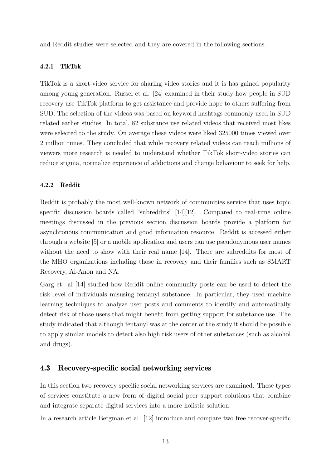and Reddit studies were selected and they are covered in the following sections.

#### 4.2.1 TikTok

TikTok is a short-video service for sharing video stories and it is has gained popularity among young generation. Russel et al. [24] examined in their study how people in SUD recovery use TikTok platform to get assistance and provide hope to others suffering from SUD. The selection of the videos was based on keyword hashtags commonly used in SUD related earlier studies. In total, 82 substance use related videos that received most likes were selected to the study. On average these videos were liked 325000 times viewed over 2 million times. They concluded that while recovery related videos can reach millions of viewers more research is needed to understand whether TikTok short-video stories can reduce stigma, normalize experience of addictions and change behaviour to seek for help.

#### 4.2.2 Reddit

Reddit is probably the most well-known network of communities service that uses topic specific discussion boards called "subreddits" [14][12]. Compared to real-time online meetings discussed in the previous section discussion boards provide a platform for asynchronous communication and good information resource. Reddit is accessed either through a website [5] or a mobile application and users can use pseudonymous user names without the need to show with their real name [14]. There are subreddits for most of the MHO organizations including those in recovery and their families such as SMART Recovery, Al-Anon and NA.

Garg et. al [14] studied how Reddit online community posts can be used to detect the risk level of individuals misusing fentanyl substance. In particular, they used machine learning techniques to analyze user posts and comments to identify and automatically detect risk of those users that might benefit from getting support for substance use. The study indicated that although fentanyl was at the center of the study it should be possible to apply similar models to detect also high risk users of other substances (such as alcohol and drugs).

#### 4.3 Recovery-specific social networking services

In this section two recovery specific social networking services are examined. These types of services constitute a new form of digital social peer support solutions that combine and integrate separate digital services into a more holistic solution.

In a research article Bergman et al. [12] introduce and compare two free recover-specific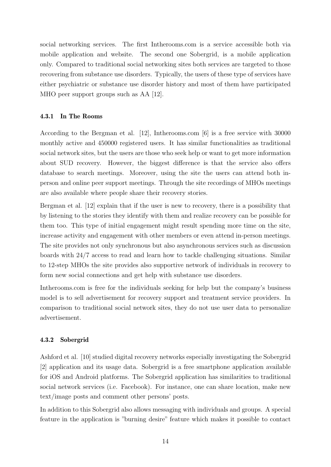social networking services. The first Intherooms.com is a service accessible both via mobile application and website. The second one Sobergrid, is a mobile application only. Compared to traditional social networking sites both services are targeted to those recovering from substance use disorders. Typically, the users of these type of services have either psychiatric or substance use disorder history and most of them have participated MHO peer support groups such as AA [12].

#### 4.3.1 In The Rooms

According to the Bergman et al. [12], Intherooms.com [6] is a free service with 30000 monthly active and 450000 registered users. It has similar functionalities as traditional social network sites, but the users are those who seek help or want to get more information about SUD recovery. However, the biggest difference is that the service also offers database to search meetings. Moreover, using the site the users can attend both inperson and online peer support meetings. Through the site recordings of MHOs meetings are also available where people share their recovery stories.

Bergman et al. [12] explain that if the user is new to recovery, there is a possibility that by listening to the stories they identify with them and realize recovery can be possible for them too. This type of initial engagement might result spending more time on the site, increase activity and engagement with other members or even attend in-person meetings. The site provides not only synchronous but also asynchronous services such as discussion boards with 24/7 access to read and learn how to tackle challenging situations. Similar to 12-step MHOs the site provides also supportive network of individuals in recovery to form new social connections and get help with substance use disorders.

Intherooms.com is free for the individuals seeking for help but the company's business model is to sell advertisement for recovery support and treatment service providers. In comparison to traditional social network sites, they do not use user data to personalize advertisement.

#### 4.3.2 Sobergrid

Ashford et al. [10] studied digital recovery networks especially investigating the Sobergrid [2] application and its usage data. Sobergrid is a free smartphone application available for iOS and Android platforms. The Sobergrid application has similarities to traditional social network services (i.e. Facebook). For instance, one can share location, make new text/image posts and comment other persons' posts.

In addition to this Sobergrid also allows messaging with individuals and groups. A special feature in the application is "burning desire" feature which makes it possible to contact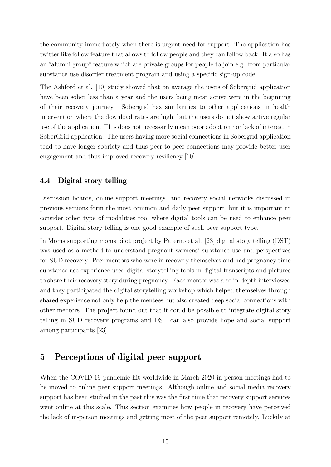the community immediately when there is urgent need for support. The application has twitter like follow feature that allows to follow people and they can follow back. It also has an "alumni group" feature which are private groups for people to join e.g. from particular substance use disorder treatment program and using a specific sign-up code.

The Ashford et al. [10] study showed that on average the users of Sobergrid application have been sober less than a year and the users being most active were in the beginning of their recovery journey. Sobergrid has similarities to other applications in health intervention where the download rates are high, but the users do not show active regular use of the application. This does not necessarily mean poor adoption nor lack of interest in SoberGrid application. The users having more social connections in Sobergrid application tend to have longer sobriety and thus peer-to-peer connections may provide better user engagement and thus improved recovery resiliency [10].

#### 4.4 Digital story telling

Discussion boards, online support meetings, and recovery social networks discussed in previous sections form the most common and daily peer support, but it is important to consider other type of modalities too, where digital tools can be used to enhance peer support. Digital story telling is one good example of such peer support type.

In Moms supporting moms pilot project by Paterno et al. [23] digital story telling (DST) was used as a method to understand pregnant womens' substance use and perspectives for SUD recovery. Peer mentors who were in recovery themselves and had pregnancy time substance use experience used digital storytelling tools in digital transcripts and pictures to share their recovery story during pregnancy. Each mentor was also in-depth interviewed and they participated the digital storytelling workshop which helped themselves through shared experience not only help the mentees but also created deep social connections with other mentors. The project found out that it could be possible to integrate digital story telling in SUD recovery programs and DST can also provide hope and social support among participants [23].

### 5 Perceptions of digital peer support

When the COVID-19 pandemic hit worldwide in March 2020 in-person meetings had to be moved to online peer support meetings. Although online and social media recovery support has been studied in the past this was the first time that recovery support services went online at this scale. This section examines how people in recovery have perceived the lack of in-person meetings and getting most of the peer support remotely. Luckily at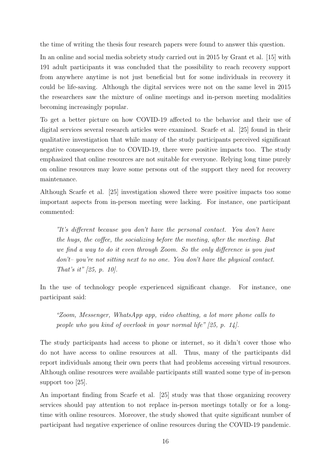the time of writing the thesis four research papers were found to answer this question.

In an online and social media sobriety study carried out in 2015 by Grant et al. [15] with 191 adult participants it was concluded that the possibility to reach recovery support from anywhere anytime is not just beneficial but for some individuals in recovery it could be life-saving. Although the digital services were not on the same level in 2015 the researchers saw the mixture of online meetings and in-person meeting modalities becoming increasingly popular.

To get a better picture on how COVID-19 affected to the behavior and their use of digital services several research articles were examined. Scarfe et al. [25] found in their qualitative investigation that while many of the study participants perceived significant negative consequences due to COVID-19, there were positive impacts too. The study emphasized that online resources are not suitable for everyone. Relying long time purely on online resources may leave some persons out of the support they need for recovery maintenance.

Although Scarfe et al. [25] investigation showed there were positive impacts too some important aspects from in-person meeting were lacking. For instance, one participant commented:

"It's different because you don't have the personal contact. You don't have the hugs, the coffee, the socializing before the meeting, after the meeting. But we find a way to do it even through Zoom. So the only difference is you just don't– you're not sitting next to no one. You don't have the physical contact. That's it" [25, p. 10].

In the use of technology people experienced significant change. For instance, one participant said:

"Zoom, Messenger, WhatsApp app, video chatting, a lot more phone calls to people who you kind of overlook in your normal life" [25, p. 14].

The study participants had access to phone or internet, so it didn't cover those who do not have access to online resources at all. Thus, many of the participants did report individuals among their own peers that had problems accessing virtual resources. Although online resources were available participants still wanted some type of in-person support too [25].

An important finding from Scarfe et al. [25] study was that those organizing recovery services should pay attention to not replace in-person meetings totally or for a longtime with online resources. Moreover, the study showed that quite significant number of participant had negative experience of online resources during the COVID-19 pandemic.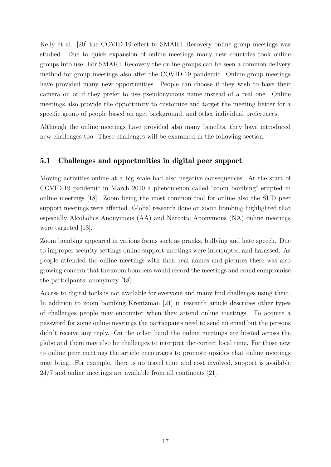Kelly et al. [20] the COVID-19 effect to SMART Recovery online group meetings was studied. Due to quick expansion of online meetings many new countries took online groups into use. For SMART Recovery the online groups can be seen a common delivery method for group meetings also after the COVID-19 pandemic. Online group meetings have provided many new opportunities. People can choose if they wish to have their camera on or if they prefer to use pseudonymous name instead of a real one. Online meetings also provide the opportunity to customize and target the meeting better for a specific group of people based on age, background, and other individual preferences.

Although the online meetings have provided also many benefits, they have introduced new challenges too. These challenges will be examined in the following section.

### 5.1 Challenges and opportunities in digital peer support

Moving activities online at a big scale had also negative consequences. At the start of COVID-19 pandemic in March 2020 a phenomenon called "zoom bombing" erupted in online meetings [18]. Zoom being the most common tool for online also the SUD peer support meetings were affected. Global research done on zoom bombing highlighted that especially Alcoholics Anonymous (AA) and Narcotic Anonymous (NA) online meetings were targeted [13].

Zoom bombing appeared in various forms such as pranks, bullying and hate speech. Due to improper security settings online support meetings were interrupted and harassed. As people attended the online meetings with their real names and pictures there was also growing concern that the zoom bombers would record the meetings and could compromise the participants' anonymity [18].

Access to digital tools is not available for everyone and many find challenges using them. In addition to zoom bombing Krentzman [21] in research article describes other types of challenges people may encounter when they attend online meetings. To acquire a password for some online meetings the participants need to send an email but the persons didn't receive any reply. On the other hand the online meetings are hosted across the globe and there may also be challenges to interpret the correct local time. For those new to online peer meetings the article encourages to promote upsides that online meetings may bring. For example, there is no travel time and cost involved, support is available 24/7 and online meetings are available from all continents [21].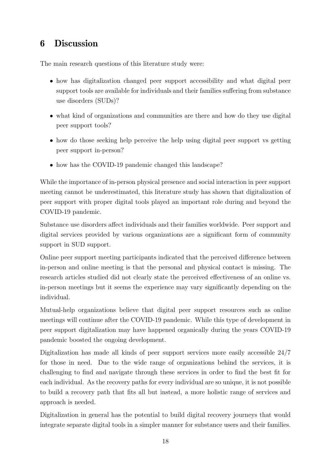### 6 Discussion

The main research questions of this literature study were:

- how has digitalization changed peer support accessibility and what digital peer support tools are available for individuals and their families suffering from substance use disorders (SUDs)?
- what kind of organizations and communities are there and how do they use digital peer support tools?
- how do those seeking help perceive the help using digital peer support vs getting peer support in-person?
- how has the COVID-19 pandemic changed this landscape?

While the importance of in-person physical presence and social interaction in peer support meeting cannot be underestimated, this literature study has shown that digitalization of peer support with proper digital tools played an important role during and beyond the COVID-19 pandemic.

Substance use disorders affect individuals and their families worldwide. Peer support and digital services provided by various organizations are a significant form of community support in SUD support.

Online peer support meeting participants indicated that the perceived difference between in-person and online meeting is that the personal and physical contact is missing. The research articles studied did not clearly state the perceived effectiveness of an online vs. in-person meetings but it seems the experience may vary significantly depending on the individual.

Mutual-help organizations believe that digital peer support resources such as online meetings will continue after the COVID-19 pandemic. While this type of development in peer support digitalization may have happened organically during the years COVID-19 pandemic boosted the ongoing development.

Digitalization has made all kinds of peer support services more easily accessible 24/7 for those in need. Due to the wide range of organizations behind the services, it is challenging to find and navigate through these services in order to find the best fit for each individual. As the recovery paths for every individual are so unique, it is not possible to build a recovery path that fits all but instead, a more holistic range of services and approach is needed.

Digitalization in general has the potential to build digital recovery journeys that would integrate separate digital tools in a simpler manner for substance users and their families.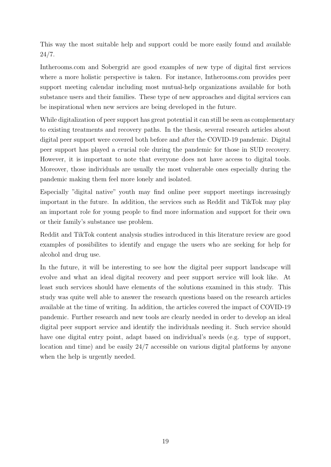This way the most suitable help and support could be more easily found and available 24/7.

Intherooms.com and Sobergrid are good examples of new type of digital first services where a more holistic perspective is taken. For instance, Intherooms.com provides peer support meeting calendar including most mutual-help organizations available for both substance users and their families. These type of new approaches and digital services can be inspirational when new services are being developed in the future.

While digitalization of peer support has great potential it can still be seen as complementary to existing treatments and recovery paths. In the thesis, several research articles about digital peer support were covered both before and after the COVID-19 pandemic. Digital peer support has played a crucial role during the pandemic for those in SUD recovery. However, it is important to note that everyone does not have access to digital tools. Moreover, those individuals are usually the most vulnerable ones especially during the pandemic making them feel more lonely and isolated.

Especially "digital native" youth may find online peer support meetings increasingly important in the future. In addition, the services such as Reddit and TikTok may play an important role for young people to find more information and support for their own or their family's substance use problem.

Reddit and TikTok content analysis studies introduced in this literature review are good examples of possibilites to identify and engage the users who are seeking for help for alcohol and drug use.

In the future, it will be interesting to see how the digital peer support landscape will evolve and what an ideal digital recovery and peer support service will look like. At least such services should have elements of the solutions examined in this study. This study was quite well able to answer the research questions based on the research articles available at the time of writing. In addition, the articles covered the impact of COVID-19 pandemic. Further research and new tools are clearly needed in order to develop an ideal digital peer support service and identify the individuals needing it. Such service should have one digital entry point, adapt based on individual's needs (e.g. type of support, location and time) and be easily 24/7 accessible on various digital platforms by anyone when the help is urgently needed.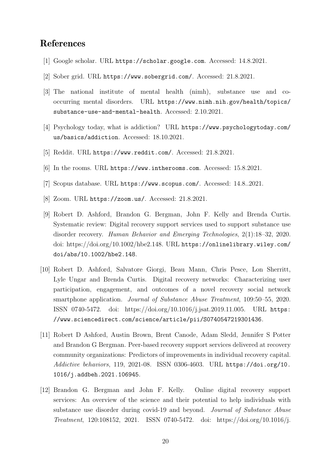### References

- [1] Google scholar. URL https://scholar.google.com. Accessed: 14.8.2021.
- [2] Sober grid. URL https://www.sobergrid.com/. Accessed: 21.8.2021.
- [3] The national institute of mental health (nimh), substance use and cooccurring mental disorders. URL https://www.nimh.nih.gov/health/topics/ substance-use-and-mental-health. Accessed: 2.10.2021.
- [4] Psychology today, what is addiction? URL https://www.psychologytoday.com/ us/basics/addiction. Accessed: 18.10.2021.
- [5] Reddit. URL https://www.reddit.com/. Accessed: 21.8.2021.
- [6] In the rooms. URL https://www.intherooms.com. Accessed: 15.8.2021.
- [7] Scopus database. URL https://www.scopus.com/. Accessed: 14.8..2021.
- [8] Zoom. URL https://zoom.us/. Accessed: 21.8.2021.
- [9] Robert D. Ashford, Brandon G. Bergman, John F. Kelly and Brenda Curtis. Systematic review: Digital recovery support services used to support substance use disorder recovery. Human Behavior and Emerging Technologies, 2(1):18–32, 2020. doi: https://doi.org/10.1002/hbe2.148. URL https://onlinelibrary.wiley.com/ doi/abs/10.1002/hbe2.148.
- [10] Robert D. Ashford, Salvatore Giorgi, Beau Mann, Chris Pesce, Lon Sherritt, Lyle Ungar and Brenda Curtis. Digital recovery networks: Characterizing user participation, engagement, and outcomes of a novel recovery social network smartphone application. Journal of Substance Abuse Treatment, 109:50–55, 2020. ISSN 0740-5472. doi: https://doi.org/10.1016/j.jsat.2019.11.005. URL https: //www.sciencedirect.com/science/article/pii/S0740547219301436.
- [11] Robert D Ashford, Austin Brown, Brent Canode, Adam Sledd, Jennifer S Potter and Brandon G Bergman. Peer-based recovery support services delivered at recovery community organizations: Predictors of improvements in individual recovery capital. Addictive behaviors, 119, 2021-08. ISSN 0306-4603. URL https://doi.org/10. 1016/j.addbeh.2021.106945.
- [12] Brandon G. Bergman and John F. Kelly. Online digital recovery support services: An overview of the science and their potential to help individuals with substance use disorder during covid-19 and beyond. Journal of Substance Abuse Treatment, 120:108152, 2021. ISSN 0740-5472. doi: https://doi.org/10.1016/j.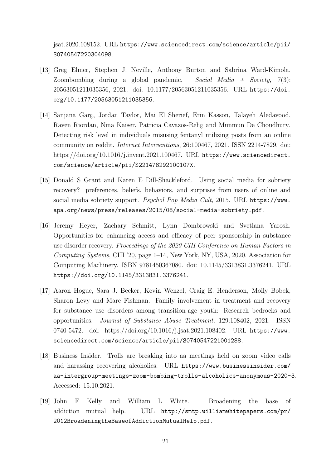jsat.2020.108152. URL https://www.sciencedirect.com/science/article/pii/ S0740547220304098.

- [13] Greg Elmer, Stephen J. Neville, Anthony Burton and Sabrina Ward-Kimola. Zoombombing during a global pandemic. Social Media  $+$  Society, 7(3): 20563051211035356, 2021. doi: 10.1177/20563051211035356. URL https://doi. org/10.1177/20563051211035356.
- [14] Sanjana Garg, Jordan Taylor, Mai El Sherief, Erin Kasson, Talayeh Aledavood, Raven Riordan, Nina Kaiser, Patricia Cavazos-Rehg and Munmun De Choudhury. Detecting risk level in individuals misusing fentanyl utilizing posts from an online community on reddit. Internet Interventions, 26:100467, 2021. ISSN 2214-7829. doi: https://doi.org/10.1016/j.invent.2021.100467. URL https://www.sciencedirect. com/science/article/pii/S221478292100107X.
- [15] Donald S Grant and Karen E Dill-Shackleford. Using social media for sobriety recovery? preferences, beliefs, behaviors, and surprises from users of online and social media sobriety support. Psychol Pop Media Cult, 2015. URL https://www. apa.org/news/press/releases/2015/08/social-media-sobriety.pdf.
- [16] Jeremy Heyer, Zachary Schmitt, Lynn Dombrowski and Svetlana Yarosh. Opportunities for enhancing access and efficacy of peer sponsorship in substance use disorder recovery. Proceedings of the 2020 CHI Conference on Human Factors in Computing Systems, CHI '20, page 1–14, New York, NY, USA, 2020. Association for Computing Machinery. ISBN 9781450367080. doi: 10.1145/3313831.3376241. URL https://doi.org/10.1145/3313831.3376241.
- [17] Aaron Hogue, Sara J. Becker, Kevin Wenzel, Craig E. Henderson, Molly Bobek, Sharon Levy and Marc Fishman. Family involvement in treatment and recovery for substance use disorders among transition-age youth: Research bedrocks and opportunities. Journal of Substance Abuse Treatment, 129:108402, 2021. ISSN 0740-5472. doi: https://doi.org/10.1016/j.jsat.2021.108402. URL https://www. sciencedirect.com/science/article/pii/S0740547221001288.
- [18] Business Insider. Trolls are breaking into aa meetings held on zoom video calls and harassing recovering alcoholics. URL https://www.businessinsider.com/ aa-intergroup-meetings-zoom-bombing-trolls-alcoholics-anonymous-2020-3. Accessed: 15.10.2021.
- [19] John F Kelly and William L White. Broadening the base of addiction mutual help. URL http://smtp.williamwhitepapers.com/pr/ 2012BroadeningtheBaseofAddictionMutualHelp.pdf.